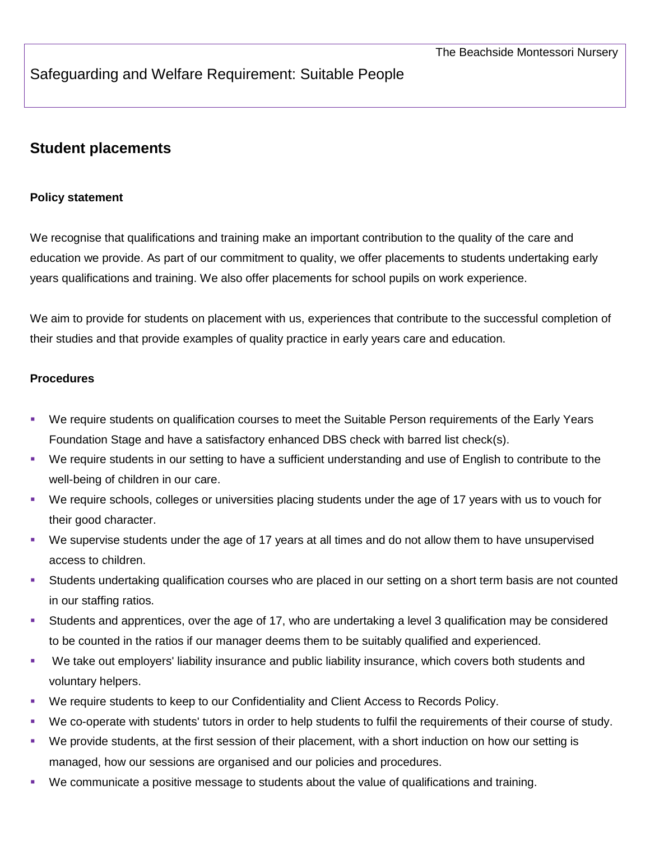## Safeguarding and Welfare Requirement: Suitable People

## **Student placements**

## **Policy statement**

We recognise that qualifications and training make an important contribution to the quality of the care and education we provide. As part of our commitment to quality, we offer placements to students undertaking early years qualifications and training. We also offer placements for school pupils on work experience.

We aim to provide for students on placement with us, experiences that contribute to the successful completion of their studies and that provide examples of quality practice in early years care and education.

## **Procedures**

- We require students on qualification courses to meet the Suitable Person requirements of the Early Years Foundation Stage and have a satisfactory enhanced DBS check with barred list check(s).
- We require students in our setting to have a sufficient understanding and use of English to contribute to the well-being of children in our care.
- We require schools, colleges or universities placing students under the age of 17 years with us to vouch for their good character.
- We supervise students under the age of 17 years at all times and do not allow them to have unsupervised access to children.
- Students undertaking qualification courses who are placed in our setting on a short term basis are not counted in our staffing ratios.
- Students and apprentices, over the age of 17, who are undertaking a level 3 qualification may be considered to be counted in the ratios if our manager deems them to be suitably qualified and experienced.
- We take out employers' liability insurance and public liability insurance, which covers both students and voluntary helpers.
- We require students to keep to our Confidentiality and Client Access to Records Policy.
- We co-operate with students' tutors in order to help students to fulfil the requirements of their course of study.
- We provide students, at the first session of their placement, with a short induction on how our setting is managed, how our sessions are organised and our policies and procedures.
- We communicate a positive message to students about the value of qualifications and training.